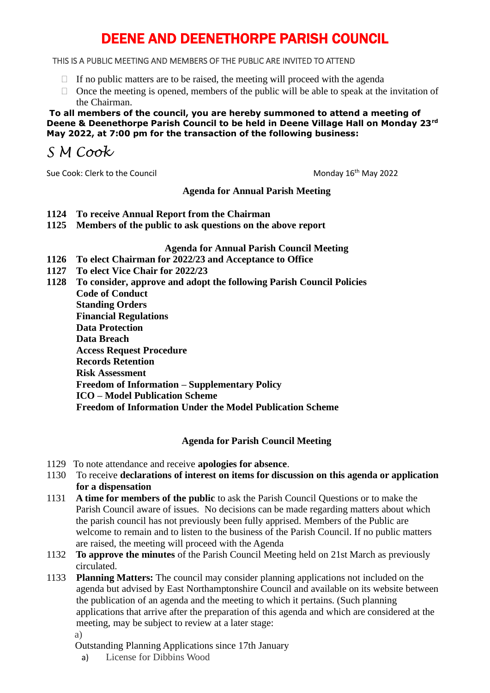# DEENE AND DEENETHORPE PARISH COUNCIL

### THIS IS A PUBLIC MEETING AND MEMBERS OF THE PUBLIC ARE INVITED TO ATTEND

- $\Box$  If no public matters are to be raised, the meeting will proceed with the agenda
- $\Box$  Once the meeting is opened, members of the public will be able to speak at the invitation of the Chairman.

**To all members of the council, you are hereby summoned to attend a meeting of Deene & Deenethorpe Parish Council to be held in Deene Village Hall on Monday 23rd May 2022, at 7:00 pm for the transaction of the following business:**

*S M Cook*

Sue Cook: Clerk to the Council and Sue Cook: Clerk to the Council Monday 16<sup>th</sup> May 2022

#### **Agenda for Annual Parish Meeting**

- **1124 To receive Annual Report from the Chairman**
- **1125 Members of the public to ask questions on the above report**

### **Agenda for Annual Parish Council Meeting**

- **1126 To elect Chairman for 2022/23 and Acceptance to Office**
- **1127 To elect Vice Chair for 2022/23**

**1128 To consider, approve and adopt the following Parish Council Policies Code of Conduct Standing Orders Financial Regulations Data Protection Data Breach Access Request Procedure Records Retention Risk Assessment Freedom of Information – Supplementary Policy ICO – Model Publication Scheme Freedom of Information Under the Model Publication Scheme** 

## **Agenda for Parish Council Meeting**

- 1129 To note attendance and receive **apologies for absence**.
- 1130 To receive **declarations of interest on items for discussion on this agenda or application for a dispensation**
- 1131 **A time for members of the public** to ask the Parish Council Questions or to make the Parish Council aware of issues. No decisions can be made regarding matters about which the parish council has not previously been fully apprised. Members of the Public are welcome to remain and to listen to the business of the Parish Council. If no public matters are raised, the meeting will proceed with the Agenda
- 1132 **To approve the minutes** of the Parish Council Meeting held on 21st March as previously circulated.
- 1133 **Planning Matters:** The council may consider planning applications not included on the agenda but advised by East Northamptonshire Council and available on its website between the publication of an agenda and the meeting to which it pertains. (Such planning applications that arrive after the preparation of this agenda and which are considered at the meeting, may be subject to review at a later stage: a)

Outstanding Planning Applications since 17th January

a) License for Dibbins Wood